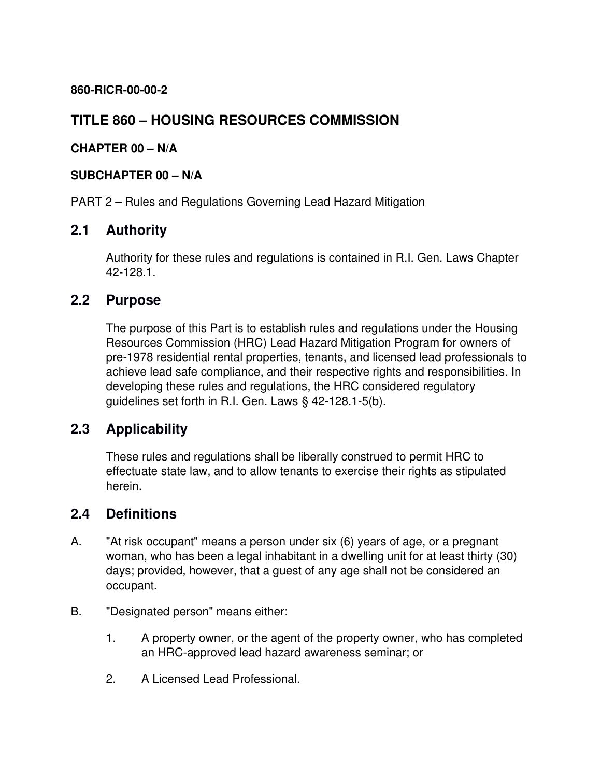**860-RICR-00-00-2**

# **TITLE 860 – HOUSING RESOURCES COMMISSION**

#### **CHAPTER 00 – N/A**

#### **SUBCHAPTER 00 – N/A**

PART 2 – Rules and Regulations Governing Lead Hazard Mitigation

## **2.1 Authority**

Authority for these rules and regulations is contained in R.I. Gen. Laws Chapter 42-128.1.

## **2.2 Purpose**

The purpose of this Part is to establish rules and regulations under the Housing Resources Commission (HRC) Lead Hazard Mitigation Program for owners of pre-1978 residential rental properties, tenants, and licensed lead professionals to achieve lead safe compliance, and their respective rights and responsibilities. In developing these rules and regulations, the HRC considered regulatory guidelines set forth in R.I. Gen. Laws § 42-128.1-5(b).

## **2.3 Applicability**

These rules and regulations shall be liberally construed to permit HRC to effectuate state law, and to allow tenants to exercise their rights as stipulated herein.

## **2.4 Definitions**

- A. "At risk occupant" means a person under six (6) years of age, or a pregnant woman, who has been a legal inhabitant in a dwelling unit for at least thirty (30) days; provided, however, that a guest of any age shall not be considered an occupant.
- B. "Designated person" means either:
	- 1. A property owner, or the agent of the property owner, who has completed an HRC-approved lead hazard awareness seminar; or
	- 2. A Licensed Lead Professional.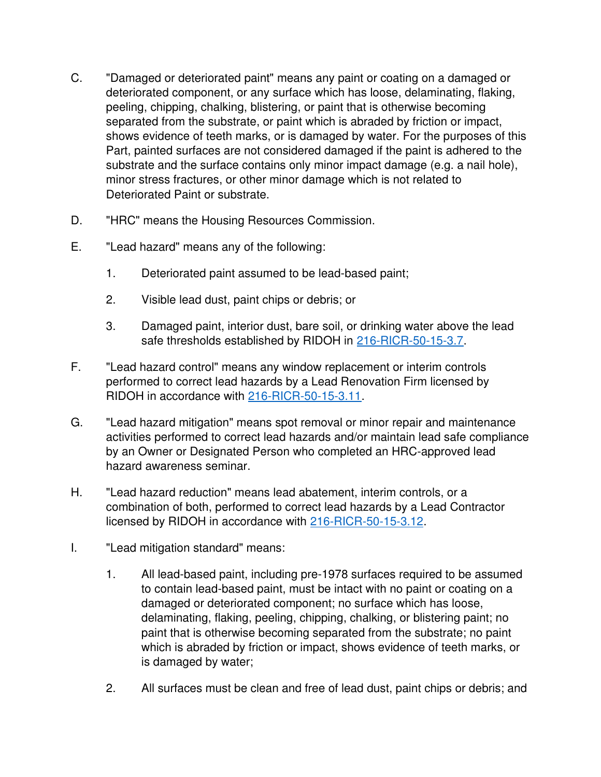- C. "Damaged or deteriorated paint" means any paint or coating on a damaged or deteriorated component, or any surface which has loose, delaminating, flaking, peeling, chipping, chalking, blistering, or paint that is otherwise becoming separated from the substrate, or paint which is abraded by friction or impact, shows evidence of teeth marks, or is damaged by water. For the purposes of this Part, painted surfaces are not considered damaged if the paint is adhered to the substrate and the surface contains only minor impact damage (e.g. a nail hole), minor stress fractures, or other minor damage which is not related to Deteriorated Paint or substrate.
- D. "HRC" means the Housing Resources Commission.
- E. "Lead hazard" means any of the following:
	- 1. Deteriorated paint assumed to be lead-based paint;
	- 2. Visible lead dust, paint chips or debris; or
	- 3. Damaged paint, interior dust, bare soil, or drinking water above the lead safe thresholds established by RIDOH in [216-RICR-50-15-3.7.](https://rules.sos.ri.gov/regulations/part/216-50-15-3)
- F. "Lead hazard control" means any window replacement or interim controls performed to correct lead hazards by a Lead Renovation Firm licensed by RIDOH in accordance with [216-RICR-50-15-3.11.](https://rules.sos.ri.gov/regulations/part/216-50-15-3)
- G. "Lead hazard mitigation" means spot removal or minor repair and maintenance activities performed to correct lead hazards and/or maintain lead safe compliance by an Owner or Designated Person who completed an HRC-approved lead hazard awareness seminar.
- H. "Lead hazard reduction" means lead abatement, interim controls, or a combination of both, performed to correct lead hazards by a Lead Contractor licensed by RIDOH in accordance with [216-RICR-50-15-3.12.](https://rules.sos.ri.gov/regulations/part/216-50-15-3)
- I. "Lead mitigation standard" means:
	- 1. All lead-based paint, including pre-1978 surfaces required to be assumed to contain lead-based paint, must be intact with no paint or coating on a damaged or deteriorated component; no surface which has loose, delaminating, flaking, peeling, chipping, chalking, or blistering paint; no paint that is otherwise becoming separated from the substrate; no paint which is abraded by friction or impact, shows evidence of teeth marks, or is damaged by water;
	- 2. All surfaces must be clean and free of lead dust, paint chips or debris; and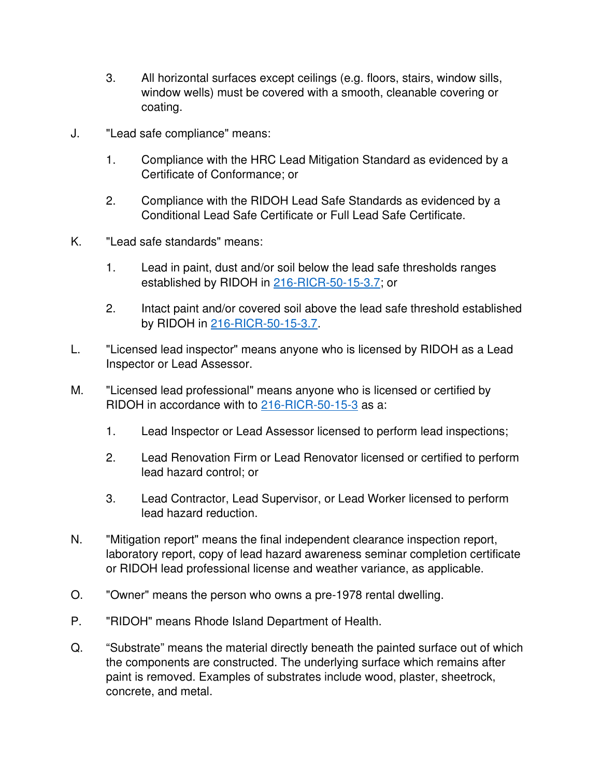- 3. All horizontal surfaces except ceilings (e.g. floors, stairs, window sills, window wells) must be covered with a smooth, cleanable covering or coating.
- J. "Lead safe compliance" means:
	- 1. Compliance with the HRC Lead Mitigation Standard as evidenced by a Certificate of Conformance; or
	- 2. Compliance with the RIDOH Lead Safe Standards as evidenced by a Conditional Lead Safe Certificate or Full Lead Safe Certificate.
- K. "Lead safe standards" means:
	- 1. Lead in paint, dust and/or soil below the lead safe thresholds ranges established by RIDOH in [216-RICR-50-15-3.7;](https://rules.sos.ri.gov/regulations/part/216-50-15-3) or
	- 2. Intact paint and/or covered soil above the lead safe threshold established by RIDOH in [216-RICR-50-15-3.7.](https://rules.sos.ri.gov/regulations/part/216-50-15-3)
- L. "Licensed lead inspector" means anyone who is licensed by RIDOH as a Lead Inspector or Lead Assessor.
- M. "Licensed lead professional" means anyone who is licensed or certified by RIDOH in accordance with to [216-RICR-50-15-3](https://rules.sos.ri.gov/regulations/part/216-50-15-3) as a:
	- 1. Lead Inspector or Lead Assessor licensed to perform lead inspections;
	- 2. Lead Renovation Firm or Lead Renovator licensed or certified to perform lead hazard control; or
	- 3. Lead Contractor, Lead Supervisor, or Lead Worker licensed to perform lead hazard reduction.
- N. "Mitigation report" means the final independent clearance inspection report, laboratory report, copy of lead hazard awareness seminar completion certificate or RIDOH lead professional license and weather variance, as applicable.
- O. "Owner" means the person who owns a pre-1978 rental dwelling.
- P. "RIDOH" means Rhode Island Department of Health.
- Q. "Substrate" means the material directly beneath the painted surface out of which the components are constructed. The underlying surface which remains after paint is removed. Examples of substrates include wood, plaster, sheetrock, concrete, and metal.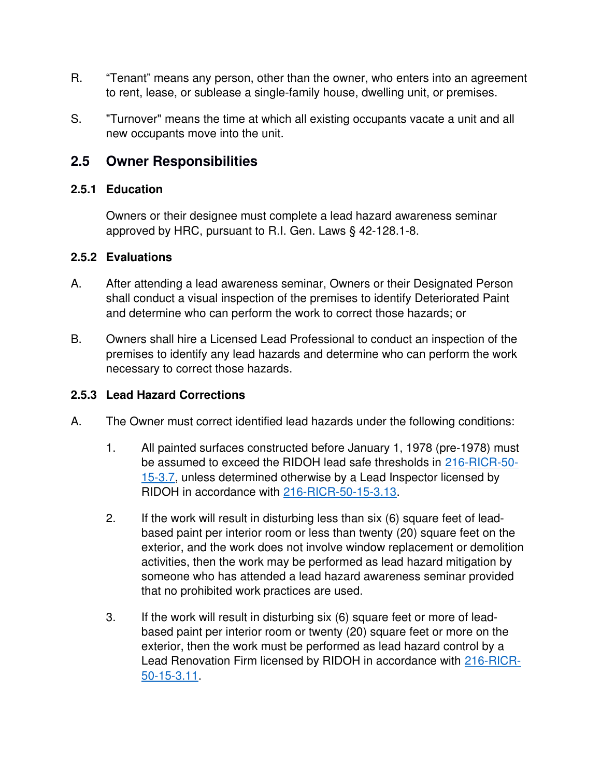- R. "Tenant" means any person, other than the owner, who enters into an agreement to rent, lease, or sublease a single-family house, dwelling unit, or premises.
- S. "Turnover" means the time at which all existing occupants vacate a unit and all new occupants move into the unit.

## **2.5 Owner Responsibilities**

#### **2.5.1 Education**

Owners or their designee must complete a lead hazard awareness seminar approved by HRC, pursuant to R.I. Gen. Laws § 42-128.1-8.

#### **2.5.2 Evaluations**

- A. After attending a lead awareness seminar, Owners or their Designated Person shall conduct a visual inspection of the premises to identify Deteriorated Paint and determine who can perform the work to correct those hazards; or
- B. Owners shall hire a Licensed Lead Professional to conduct an inspection of the premises to identify any lead hazards and determine who can perform the work necessary to correct those hazards.

## **2.5.3 Lead Hazard Corrections**

- A. The Owner must correct identified lead hazards under the following conditions:
	- 1. All painted surfaces constructed before January 1, 1978 (pre-1978) must be assumed to exceed the RIDOH lead safe thresholds in [216-RICR-50-](https://rules.sos.ri.gov/regulations/part/216-50-15-3) [15-3.7,](https://rules.sos.ri.gov/regulations/part/216-50-15-3) unless determined otherwise by a Lead Inspector licensed by RIDOH in accordance with [216-RICR-50-15-3.13.](https://rules.sos.ri.gov/regulations/part/216-50-15-3)
	- 2. If the work will result in disturbing less than six (6) square feet of leadbased paint per interior room or less than twenty (20) square feet on the exterior, and the work does not involve window replacement or demolition activities, then the work may be performed as lead hazard mitigation by someone who has attended a lead hazard awareness seminar provided that no prohibited work practices are used.
	- 3. If the work will result in disturbing six (6) square feet or more of leadbased paint per interior room or twenty (20) square feet or more on the exterior, then the work must be performed as lead hazard control by a Lead Renovation Firm licensed by RIDOH in accordance with [216-RICR-](https://rules.sos.ri.gov/regulations/part/216-50-15-3)[50-15-3.11.](https://rules.sos.ri.gov/regulations/part/216-50-15-3)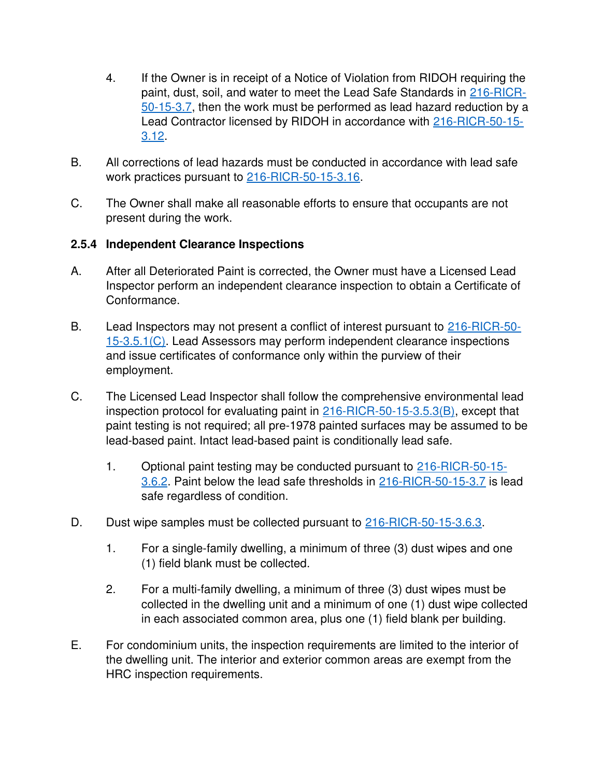- 4. If the Owner is in receipt of a Notice of Violation from RIDOH requiring the paint, dust, soil, and water to meet the Lead Safe Standards in [216-RICR-](https://rules.sos.ri.gov/regulations/part/216-50-15-3)[50-15-3.7,](https://rules.sos.ri.gov/regulations/part/216-50-15-3) then the work must be performed as lead hazard reduction by a Lead Contractor licensed by RIDOH in accordance with [216-RICR-50-15-](https://rules.sos.ri.gov/regulations/part/216-50-15-3) [3.12.](https://rules.sos.ri.gov/regulations/part/216-50-15-3)
- B. All corrections of lead hazards must be conducted in accordance with lead safe work practices pursuant to [216-RICR-50-15-3.16.](https://rules.sos.ri.gov/regulations/part/216-50-15-3)
- C. The Owner shall make all reasonable efforts to ensure that occupants are not present during the work.

#### **2.5.4 Independent Clearance Inspections**

- A. After all Deteriorated Paint is corrected, the Owner must have a Licensed Lead Inspector perform an independent clearance inspection to obtain a Certificate of Conformance.
- B. Lead Inspectors may not present a conflict of interest pursuant to [216-RICR-50-](https://rules.sos.ri.gov/regulations/part/216-50-15-3) [15-3.5.1\(C\).](https://rules.sos.ri.gov/regulations/part/216-50-15-3) Lead Assessors may perform independent clearance inspections and issue certificates of conformance only within the purview of their employment.
- C. The Licensed Lead Inspector shall follow the comprehensive environmental lead inspection protocol for evaluating paint in [216-RICR-50-15-3.5.3\(B\),](https://rules.sos.ri.gov/regulations/part/216-50-15-3) except that paint testing is not required; all pre-1978 painted surfaces may be assumed to be lead-based paint. Intact lead-based paint is conditionally lead safe.
	- 1. Optional paint testing may be conducted pursuant to [216-RICR-50-15-](https://rules.sos.ri.gov/regulations/part/216-50-15-3) [3.6.2.](https://rules.sos.ri.gov/regulations/part/216-50-15-3) Paint below the lead safe thresholds in [216-RICR-50-15-3.7](https://rules.sos.ri.gov/regulations/part/216-50-15-3) is lead safe regardless of condition.
- D. Dust wipe samples must be collected pursuant to [216-RICR-50-15-3.6.3.](https://rules.sos.ri.gov/regulations/part/216-50-15-3)
	- 1. For a single-family dwelling, a minimum of three (3) dust wipes and one (1) field blank must be collected.
	- 2. For a multi-family dwelling, a minimum of three (3) dust wipes must be collected in the dwelling unit and a minimum of one (1) dust wipe collected in each associated common area, plus one (1) field blank per building.
- E. For condominium units, the inspection requirements are limited to the interior of the dwelling unit. The interior and exterior common areas are exempt from the HRC inspection requirements.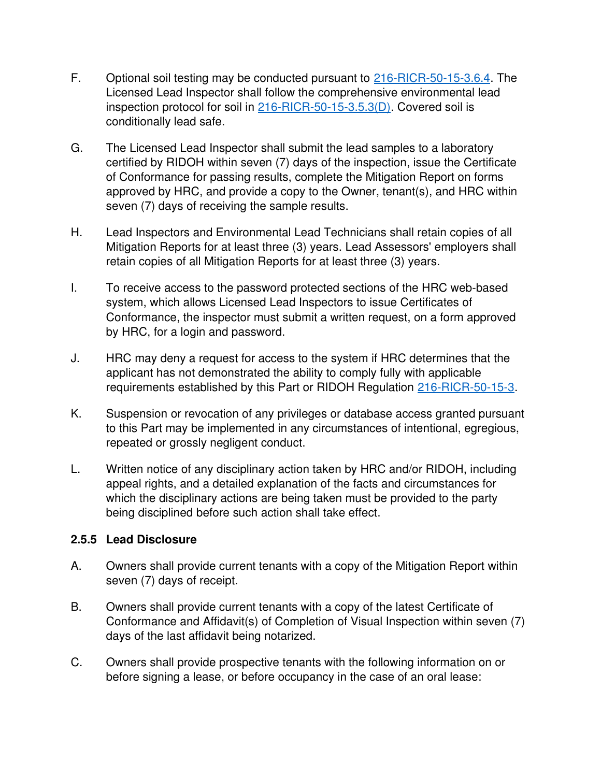- F. Optional soil testing may be conducted pursuant to [216-RICR-50-15-3.6.4.](https://rules.sos.ri.gov/regulations/part/216-50-15-3) The Licensed Lead Inspector shall follow the comprehensive environmental lead inspection protocol for soil in [216-RICR-50-15-3.5.3\(D\).](https://rules.sos.ri.gov/regulations/part/216-50-15-3) Covered soil is conditionally lead safe.
- G. The Licensed Lead Inspector shall submit the lead samples to a laboratory certified by RIDOH within seven (7) days of the inspection, issue the Certificate of Conformance for passing results, complete the Mitigation Report on forms approved by HRC, and provide a copy to the Owner, tenant(s), and HRC within seven (7) days of receiving the sample results.
- H. Lead Inspectors and Environmental Lead Technicians shall retain copies of all Mitigation Reports for at least three (3) years. Lead Assessors' employers shall retain copies of all Mitigation Reports for at least three (3) years.
- I. To receive access to the password protected sections of the HRC web-based system, which allows Licensed Lead Inspectors to issue Certificates of Conformance, the inspector must submit a written request, on a form approved by HRC, for a login and password.
- J. HRC may deny a request for access to the system if HRC determines that the applicant has not demonstrated the ability to comply fully with applicable requirements established by this Part or RIDOH Regulation [216-RICR-50-15-3.](https://rules.sos.ri.gov/regulations/part/216-50-15-3)
- K. Suspension or revocation of any privileges or database access granted pursuant to this Part may be implemented in any circumstances of intentional, egregious, repeated or grossly negligent conduct.
- L. Written notice of any disciplinary action taken by HRC and/or RIDOH, including appeal rights, and a detailed explanation of the facts and circumstances for which the disciplinary actions are being taken must be provided to the party being disciplined before such action shall take effect.

#### **2.5.5 Lead Disclosure**

- A. Owners shall provide current tenants with a copy of the Mitigation Report within seven (7) days of receipt.
- B. Owners shall provide current tenants with a copy of the latest Certificate of Conformance and Affidavit(s) of Completion of Visual Inspection within seven (7) days of the last affidavit being notarized.
- C. Owners shall provide prospective tenants with the following information on or before signing a lease, or before occupancy in the case of an oral lease: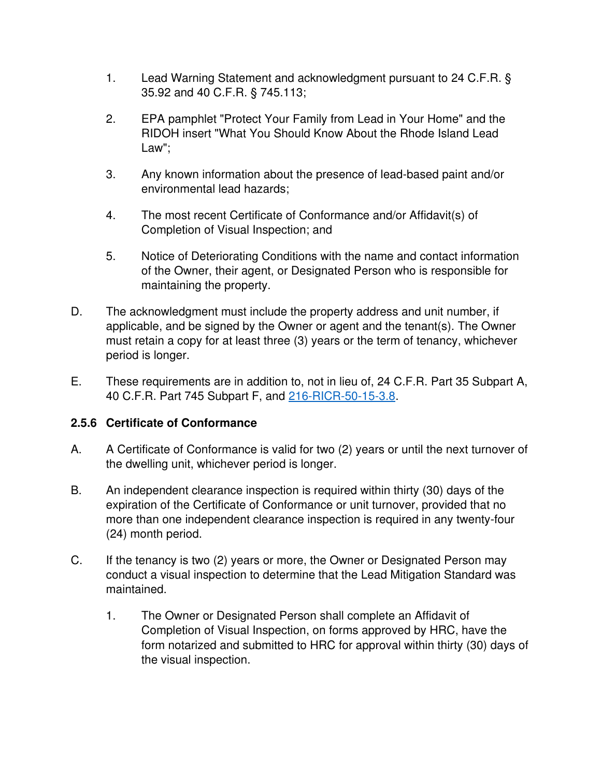- 1. Lead Warning Statement and acknowledgment pursuant to 24 C.F.R. § 35.92 and 40 C.F.R. § 745.113;
- 2. EPA pamphlet "Protect Your Family from Lead in Your Home" and the RIDOH insert "What You Should Know About the Rhode Island Lead Law";
- 3. Any known information about the presence of lead-based paint and/or environmental lead hazards;
- 4. The most recent Certificate of Conformance and/or Affidavit(s) of Completion of Visual Inspection; and
- 5. Notice of Deteriorating Conditions with the name and contact information of the Owner, their agent, or Designated Person who is responsible for maintaining the property.
- D. The acknowledgment must include the property address and unit number, if applicable, and be signed by the Owner or agent and the tenant(s). The Owner must retain a copy for at least three (3) years or the term of tenancy, whichever period is longer.
- E. These requirements are in addition to, not in lieu of, 24 C.F.R. Part 35 Subpart A, 40 C.F.R. Part 745 Subpart F, and [216-RICR-50-15-3.8.](https://rules.sos.ri.gov/regulations/part/216-50-15-3)

## **2.5.6 Certificate of Conformance**

- A. A Certificate of Conformance is valid for two (2) years or until the next turnover of the dwelling unit, whichever period is longer.
- B. An independent clearance inspection is required within thirty (30) days of the expiration of the Certificate of Conformance or unit turnover, provided that no more than one independent clearance inspection is required in any twenty-four (24) month period.
- C. If the tenancy is two (2) years or more, the Owner or Designated Person may conduct a visual inspection to determine that the Lead Mitigation Standard was maintained.
	- 1. The Owner or Designated Person shall complete an Affidavit of Completion of Visual Inspection, on forms approved by HRC, have the form notarized and submitted to HRC for approval within thirty (30) days of the visual inspection.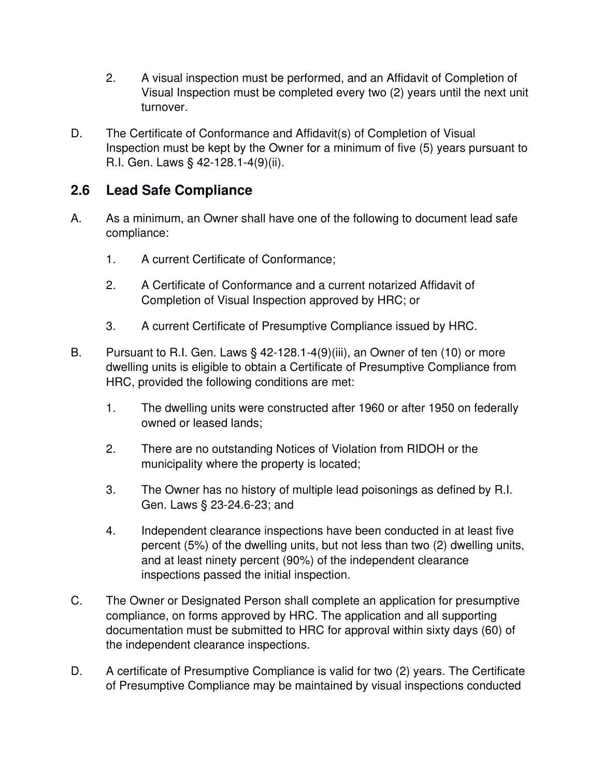- 2. A visual inspection must be performed, and an Affidavit of Completion of Visual Inspection must be completed every two (2) years until the next unit turnover.
- D. The Certificate of Conformance and Affidavit(s) of Completion of Visual Inspection must be kept by the Owner for a minimum of five (5) years pursuant to R.I. Gen. Laws § 42-128.1-4(9)(ii).

# **2.6 Lead Safe Compliance**

- A. As a minimum, an Owner shall have one of the following to document lead safe compliance:
	- 1. A current Certificate of Conformance;
	- 2. A Certificate of Conformance and a current notarized Affidavit of Completion of Visual Inspection approved by HRC; or
	- 3. A current Certificate of Presumptive Compliance issued by HRC.
- B. Pursuant to R.I. Gen. Laws § 42-128.1-4(9)(iii), an Owner of ten (10) or more dwelling units is eligible to obtain a Certificate of Presumptive Compliance from HRC, provided the following conditions are met:
	- 1. The dwelling units were constructed after 1960 or after 1950 on federally owned or leased lands;
	- 2. There are no outstanding Notices of Violation from RIDOH or the municipality where the property is located;
	- 3. The Owner has no history of multiple lead poisonings as defined by R.I. Gen. Laws § 23-24.6-23; and
	- 4. Independent clearance inspections have been conducted in at least five percent (5%) of the dwelling units, but not less than two (2) dwelling units, and at least ninety percent (90%) of the independent clearance inspections passed the initial inspection.
- C. The Owner or Designated Person shall complete an application for presumptive compliance, on forms approved by HRC. The application and all supporting documentation must be submitted to HRC for approval within sixty days (60) of the independent clearance inspections.
- D. A certificate of Presumptive Compliance is valid for two (2) years. The Certificate of Presumptive Compliance may be maintained by visual inspections conducted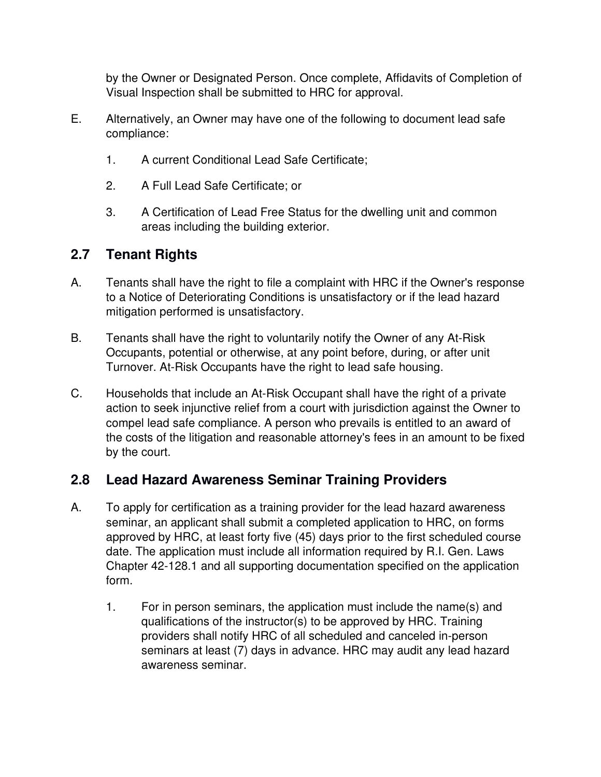by the Owner or Designated Person. Once complete, Affidavits of Completion of Visual Inspection shall be submitted to HRC for approval.

- E. Alternatively, an Owner may have one of the following to document lead safe compliance:
	- 1. A current Conditional Lead Safe Certificate;
	- 2. A Full Lead Safe Certificate; or
	- 3. A Certification of Lead Free Status for the dwelling unit and common areas including the building exterior.

# **2.7 Tenant Rights**

- A. Tenants shall have the right to file a complaint with HRC if the Owner's response to a Notice of Deteriorating Conditions is unsatisfactory or if the lead hazard mitigation performed is unsatisfactory.
- B. Tenants shall have the right to voluntarily notify the Owner of any At-Risk Occupants, potential or otherwise, at any point before, during, or after unit Turnover. At-Risk Occupants have the right to lead safe housing.
- C. Households that include an At-Risk Occupant shall have the right of a private action to seek injunctive relief from a court with jurisdiction against the Owner to compel lead safe compliance. A person who prevails is entitled to an award of the costs of the litigation and reasonable attorney's fees in an amount to be fixed by the court.

# **2.8 Lead Hazard Awareness Seminar Training Providers**

- A. To apply for certification as a training provider for the lead hazard awareness seminar, an applicant shall submit a completed application to HRC, on forms approved by HRC, at least forty five (45) days prior to the first scheduled course date. The application must include all information required by R.I. Gen. Laws Chapter 42-128.1 and all supporting documentation specified on the application form.
	- 1. For in person seminars, the application must include the name(s) and qualifications of the instructor(s) to be approved by HRC. Training providers shall notify HRC of all scheduled and canceled in-person seminars at least (7) days in advance. HRC may audit any lead hazard awareness seminar.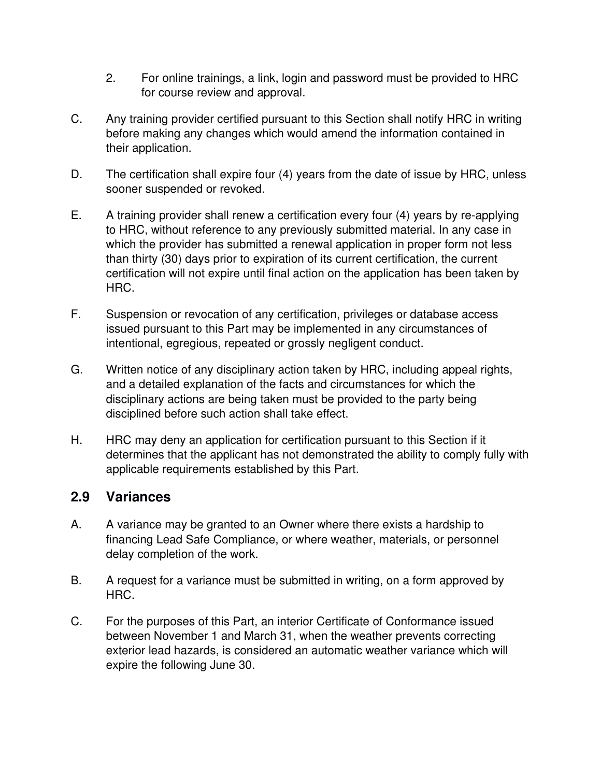- 2. For online trainings, a link, login and password must be provided to HRC for course review and approval.
- C. Any training provider certified pursuant to this Section shall notify HRC in writing before making any changes which would amend the information contained in their application.
- D. The certification shall expire four (4) years from the date of issue by HRC, unless sooner suspended or revoked.
- E. A training provider shall renew a certification every four (4) years by re-applying to HRC, without reference to any previously submitted material. In any case in which the provider has submitted a renewal application in proper form not less than thirty (30) days prior to expiration of its current certification, the current certification will not expire until final action on the application has been taken by HRC.
- F. Suspension or revocation of any certification, privileges or database access issued pursuant to this Part may be implemented in any circumstances of intentional, egregious, repeated or grossly negligent conduct.
- G. Written notice of any disciplinary action taken by HRC, including appeal rights, and a detailed explanation of the facts and circumstances for which the disciplinary actions are being taken must be provided to the party being disciplined before such action shall take effect.
- H. HRC may deny an application for certification pursuant to this Section if it determines that the applicant has not demonstrated the ability to comply fully with applicable requirements established by this Part.

## **2.9 Variances**

- A. A variance may be granted to an Owner where there exists a hardship to financing Lead Safe Compliance, or where weather, materials, or personnel delay completion of the work.
- B. A request for a variance must be submitted in writing, on a form approved by HRC.
- C. For the purposes of this Part, an interior Certificate of Conformance issued between November 1 and March 31, when the weather prevents correcting exterior lead hazards, is considered an automatic weather variance which will expire the following June 30.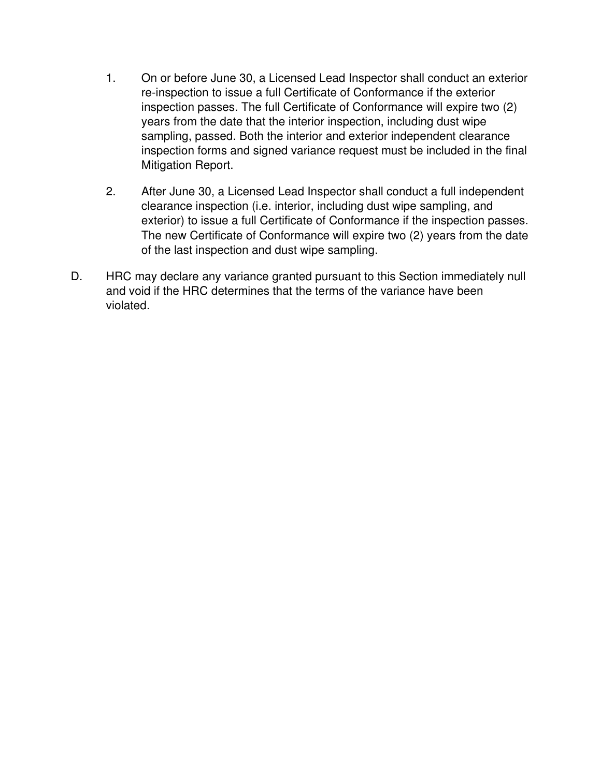- 1. On or before June 30, a Licensed Lead Inspector shall conduct an exterior re-inspection to issue a full Certificate of Conformance if the exterior inspection passes. The full Certificate of Conformance will expire two (2) years from the date that the interior inspection, including dust wipe sampling, passed. Both the interior and exterior independent clearance inspection forms and signed variance request must be included in the final Mitigation Report.
- 2. After June 30, a Licensed Lead Inspector shall conduct a full independent clearance inspection (i.e. interior, including dust wipe sampling, and exterior) to issue a full Certificate of Conformance if the inspection passes. The new Certificate of Conformance will expire two (2) years from the date of the last inspection and dust wipe sampling.
- D. HRC may declare any variance granted pursuant to this Section immediately null and void if the HRC determines that the terms of the variance have been violated.